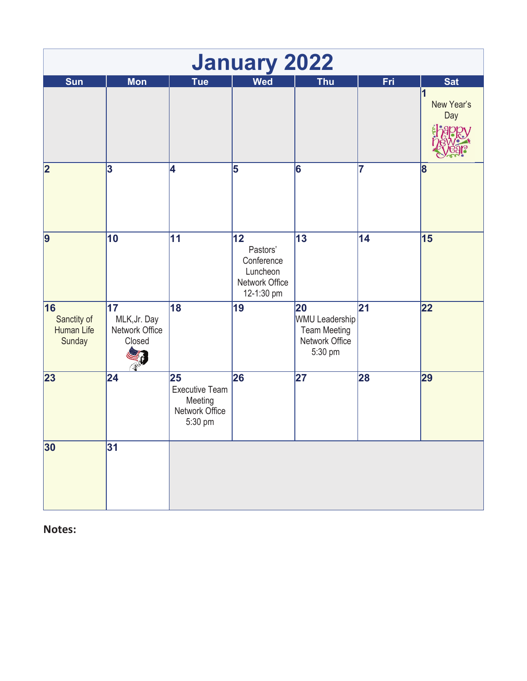|                                                  |                                                 |                                                                     | <b>January 2022</b>                                                      |                                                                                 |                 |                                      |
|--------------------------------------------------|-------------------------------------------------|---------------------------------------------------------------------|--------------------------------------------------------------------------|---------------------------------------------------------------------------------|-----------------|--------------------------------------|
| Sun                                              | <b>Mon</b>                                      | <b>Tue</b>                                                          | <b>Wed</b>                                                               | <b>Thu</b>                                                                      | Fri             | <b>Sat</b><br>И<br>New Year's<br>Day |
| $\overline{\mathbf{2}}$                          | 3                                               | 4                                                                   | 5                                                                        | 6                                                                               | 7               | $\vert 8 \vert$                      |
| 9                                                | 10                                              | 11                                                                  | 12<br>Pastors'<br>Conference<br>Luncheon<br>Network Office<br>12-1:30 pm | 13                                                                              | 14              | 15                                   |
| 16<br>Sanctity of<br><b>Human Life</b><br>Sunday | 17 <br>MLK, Jr. Day<br>Network Office<br>Closed | 18                                                                  | 19                                                                       | 20<br><b>WMU Leadership</b><br><b>Team Meeting</b><br>Network Office<br>5:30 pm | $\overline{21}$ | 22                                   |
| 23                                               | $\overline{24}$                                 | 25<br><b>Executive Team</b><br>Meeting<br>Network Office<br>5:30 pm | 26                                                                       | 27                                                                              | 28              | 29                                   |
| 30                                               | 31                                              |                                                                     |                                                                          |                                                                                 |                 |                                      |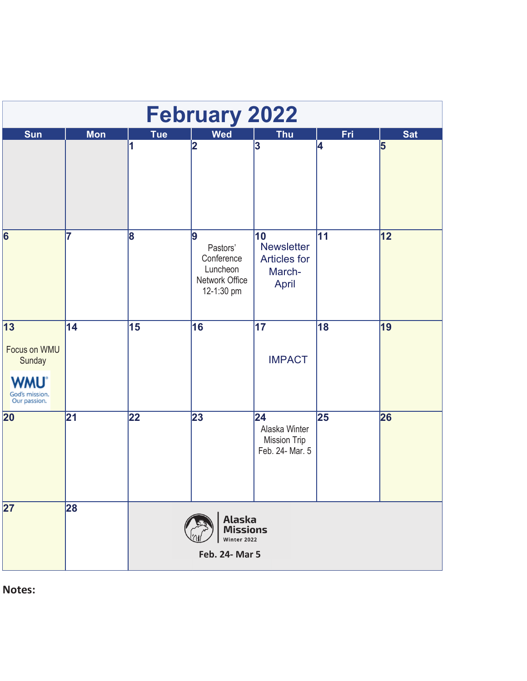| <b>February 2022</b>                                                          |            |                 |                                                                         |                                                                   |     |            |  |  |  |
|-------------------------------------------------------------------------------|------------|-----------------|-------------------------------------------------------------------------|-------------------------------------------------------------------|-----|------------|--|--|--|
| <b>Sun</b>                                                                    | <b>Mon</b> | <b>Tue</b>      | <b>Wed</b>                                                              | <b>Thu</b>                                                        | Fri | <b>Sat</b> |  |  |  |
|                                                                               |            | 1               | 2                                                                       | 3                                                                 | 4   | 5          |  |  |  |
| $\overline{6}$                                                                | 7          | 8               | 9<br>Pastors'<br>Conference<br>Luncheon<br>Network Office<br>12-1:30 pm | 10<br><b>Newsletter</b><br><b>Articles for</b><br>March-<br>April | 11  | 12         |  |  |  |
| 13 <br>Focus on WMU<br>Sunday<br><b>WMU</b><br>God's mission.<br>Our passion. | 14         | 15              | 16                                                                      | 17<br><b>IMPACT</b>                                               | 18  | 19         |  |  |  |
| $\overline{20}$                                                               | 21         | $\overline{22}$ | 23                                                                      | 24 <br>Alaska Winter<br>Mission Trip<br>Feb. 24- Mar. 5           | 25  | 26         |  |  |  |
| $\overline{27}$                                                               | 28         |                 | <b>Alaska</b><br><b>Missions</b><br>Winter 2022<br>Feb. 24- Mar 5       |                                                                   |     |            |  |  |  |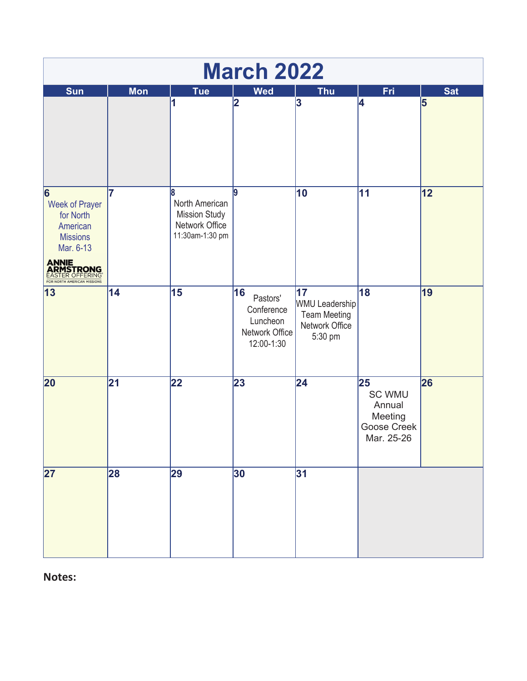|                                                                                                                                                                     | <b>March 2022</b> |                                                                                  |                                                                          |                                                                          |                                                                       |            |  |  |  |
|---------------------------------------------------------------------------------------------------------------------------------------------------------------------|-------------------|----------------------------------------------------------------------------------|--------------------------------------------------------------------------|--------------------------------------------------------------------------|-----------------------------------------------------------------------|------------|--|--|--|
| Sun                                                                                                                                                                 | <b>Mon</b>        | Tue                                                                              | <b>Wed</b>                                                               | <b>Thu</b>                                                               | <b>Fri</b>                                                            | <b>Sat</b> |  |  |  |
|                                                                                                                                                                     |                   | 1                                                                                | $\overline{\mathbf{2}}$                                                  | 3                                                                        | 4                                                                     | 5          |  |  |  |
| 6<br><b>Week of Prayer</b><br>for North<br>American<br><b>Missions</b><br>Mar. 6-13<br><b>ANNIE<br/>ARMSTRONG</b><br>EASTER OFFERING<br>FOR NORTH AMERICAN MISSIONS | 7                 | 8<br>North American<br><b>Mission Study</b><br>Network Office<br>11:30am-1:30 pm | l9                                                                       | 10                                                                       | 11                                                                    | 12         |  |  |  |
| 13                                                                                                                                                                  | 14                | 15                                                                               | 16<br>Pastors'<br>Conference<br>Luncheon<br>Network Office<br>12:00-1:30 | 17<br>WMU Leadership<br><b>Team Meeting</b><br>Network Office<br>5:30 pm | 18                                                                    | 19         |  |  |  |
| $\overline{20}$                                                                                                                                                     | $\overline{21}$   | $\overline{22}$                                                                  | 23                                                                       | $\overline{24}$                                                          | 25<br><b>SC WMU</b><br>Annual<br>Meeting<br>Goose Creek<br>Mar. 25-26 | 26         |  |  |  |
| $\overline{27}$                                                                                                                                                     | 28                | 29                                                                               | 30                                                                       | 31                                                                       |                                                                       |            |  |  |  |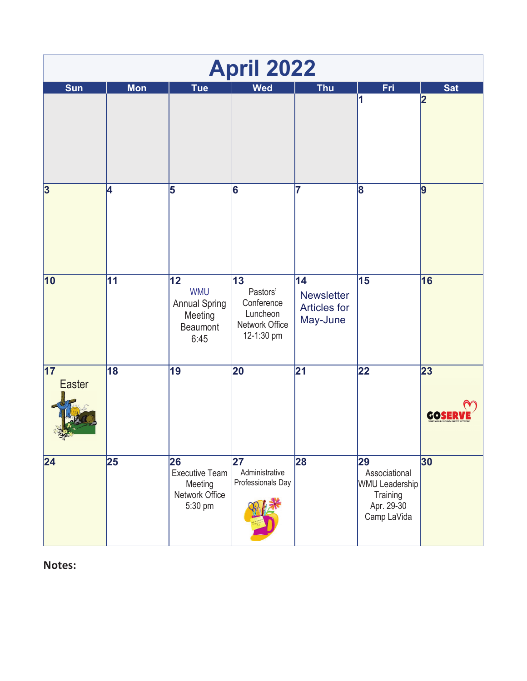|                                        | <b>April 2022</b> |                                                                         |                                                                          |                                                            |                                                                                       |            |  |  |  |
|----------------------------------------|-------------------|-------------------------------------------------------------------------|--------------------------------------------------------------------------|------------------------------------------------------------|---------------------------------------------------------------------------------------|------------|--|--|--|
| <b>Sun</b>                             | <b>Mon</b>        | <b>Tue</b>                                                              | <b>Wed</b>                                                               | <b>Thu</b>                                                 | <b>Fri</b>                                                                            | Sat        |  |  |  |
|                                        |                   |                                                                         |                                                                          |                                                            | 1                                                                                     | 2          |  |  |  |
| $\overline{\mathbf{3}}$                | 4                 | 5                                                                       | 6                                                                        | 17                                                         | 8                                                                                     | 9          |  |  |  |
| 10                                     | 11                | 12<br><b>WMU</b><br><b>Annual Spring</b><br>Meeting<br>Beaumont<br>6:45 | 13<br>Pastors'<br>Conference<br>Luncheon<br>Network Office<br>12-1:30 pm | 14<br><b>Newsletter</b><br><b>Articles for</b><br>May-June | 15                                                                                    | 16         |  |  |  |
| $\overline{17}$<br><b>Easter</b><br>÷, | $\overline{18}$   | $\overline{19}$                                                         | 20                                                                       | $\overline{21}$                                            | 22                                                                                    | 23<br>GOSI |  |  |  |
| 24                                     | 25                | 26<br><b>Executive Team</b><br>Meeting<br>Network Office<br>5:30 pm     | 27<br>Administrative<br>Professionals Day                                | 28                                                         | 29<br>Associational<br><b>WMU Leadership</b><br>Training<br>Apr. 29-30<br>Camp LaVida | 30         |  |  |  |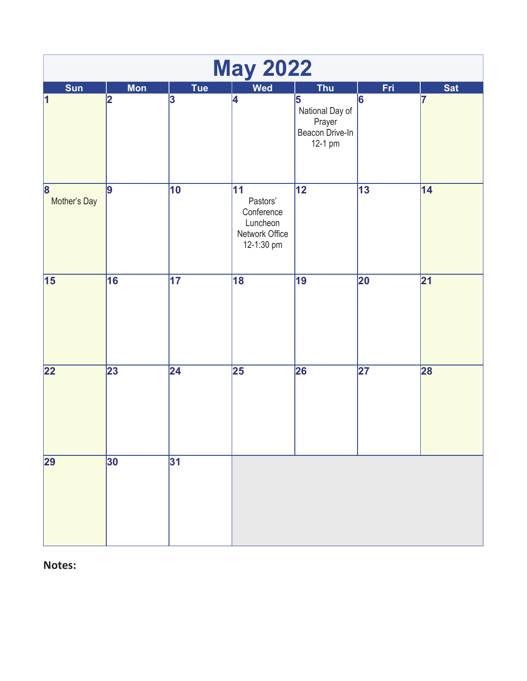| <b>May 2022</b>   |            |                 |                                                                          |                                                              |                          |                 |  |  |
|-------------------|------------|-----------------|--------------------------------------------------------------------------|--------------------------------------------------------------|--------------------------|-----------------|--|--|
| Sun               | <b>Mon</b> | Tue             | <b>Wed</b>                                                               | <b>Thu</b>                                                   | Fri                      | <b>Sat</b>      |  |  |
| $\vert$ 1         | 2          | 3               | 4                                                                        | 5<br>National Day of<br>Prayer<br>Beacon Drive-In<br>12-1 pm | 6                        | 17              |  |  |
| 8<br>Mother's Day | 9          | 10              | 11<br>Pastors'<br>Conference<br>Luncheon<br>Network Office<br>12-1:30 pm | $\overline{12}$                                              | $\overline{13}$          | $\overline{14}$ |  |  |
| 15                | 16         | 17              | 18                                                                       | 19                                                           | 20                       | 21              |  |  |
| 22                | 23         | $\overline{24}$ | $\overline{\mathbf{25}}$                                                 | 26                                                           | $\overline{\mathbf{27}}$ | 28              |  |  |
| 29                | 30         | 31              |                                                                          |                                                              |                          |                 |  |  |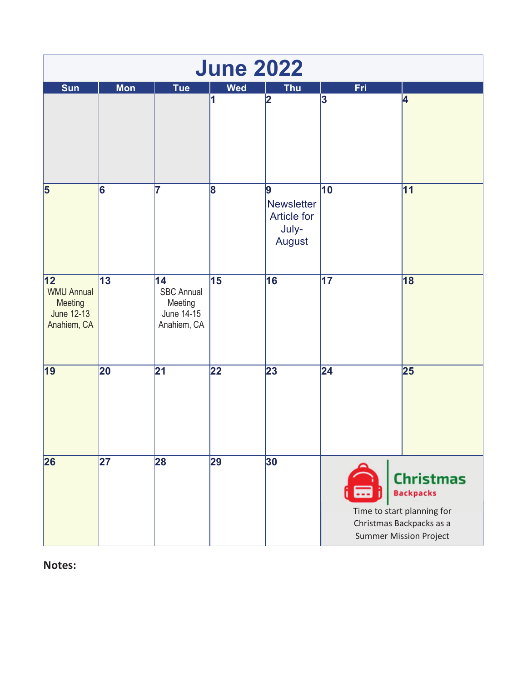| <b>June 2022</b>                                                 |            |                                                                 |                 |                                                                 |     |                                                                                                                                 |  |  |  |
|------------------------------------------------------------------|------------|-----------------------------------------------------------------|-----------------|-----------------------------------------------------------------|-----|---------------------------------------------------------------------------------------------------------------------------------|--|--|--|
| Sun                                                              | <b>Mon</b> | <b>Tue</b>                                                      | <b>Wed</b>      | <b>Thu</b>                                                      | Fri |                                                                                                                                 |  |  |  |
|                                                                  |            |                                                                 | 1               | 2                                                               | 3   | 4                                                                                                                               |  |  |  |
| 5                                                                | 6          | 7                                                               | 8               | 9<br><b>Newsletter</b><br><b>Article for</b><br>July-<br>August | 10  | 11                                                                                                                              |  |  |  |
| 12 <br><b>WMU Annual</b><br>Meeting<br>June 12-13<br>Anahiem, CA | 13         | 14<br><b>SBC Annual</b><br>Meeting<br>June 14-15<br>Anahiem, CA | 15              | 16                                                              | 17  | 18                                                                                                                              |  |  |  |
| 19                                                               | 20         | $\overline{21}$                                                 | $\overline{22}$ | 23                                                              | 24  | 25                                                                                                                              |  |  |  |
| 26                                                               | 27         | 28                                                              | 29              | 30                                                              | ⊟   | <b>Christmas</b><br><b>Backpacks</b><br>Time to start planning for<br>Christmas Backpacks as a<br><b>Summer Mission Project</b> |  |  |  |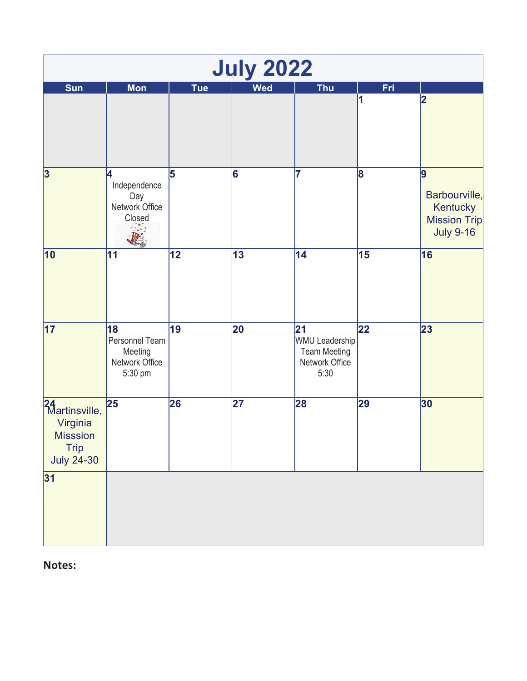|                                                                                        |                                                              |            | <b>July 2022</b> |                                                                              |                 |                                                                           |
|----------------------------------------------------------------------------------------|--------------------------------------------------------------|------------|------------------|------------------------------------------------------------------------------|-----------------|---------------------------------------------------------------------------|
| <b>Sun</b>                                                                             | <b>Mon</b>                                                   | <b>Tue</b> | <b>Wed</b>       | <b>Thu</b>                                                                   | Fri             |                                                                           |
|                                                                                        |                                                              |            |                  |                                                                              | 1               | 2                                                                         |
| 3                                                                                      | 4<br>Independence<br>Day<br>Network Office<br>Closed         | 5          | 6                | 7                                                                            | 8               | 9<br>Barbourville,<br>Kentucky<br><b>Mission Trip</b><br><b>July 9-16</b> |
| 10                                                                                     | 11                                                           | 12         | 13               | 14                                                                           | 15              | 16                                                                        |
| $\overline{17}$                                                                        | 18<br>Personnel Team<br>Meeting<br>Network Office<br>5:30 pm | 19         | 20               | 21<br><b>WMU Leadership</b><br><b>Team Meeting</b><br>Network Office<br>5:30 | $\overline{22}$ | 23                                                                        |
| 24<br>Martinsville,<br>Virginia<br><b>Misssion</b><br><b>Trip</b><br><b>July 24-30</b> | $\overline{25}$                                              | 26         | 27               | 28                                                                           | 29              | 30                                                                        |
| 31                                                                                     |                                                              |            |                  |                                                                              |                 |                                                                           |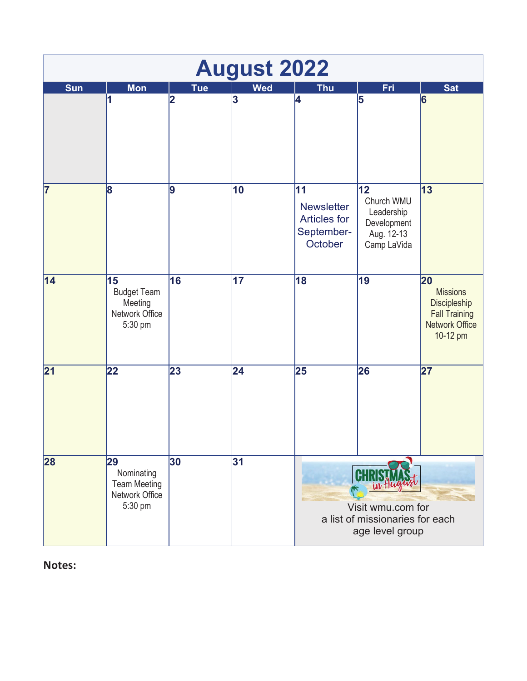| <b>August 2022</b> |                                                                      |                |            |                                                                         |                                                                                       |                                                                                                    |  |  |
|--------------------|----------------------------------------------------------------------|----------------|------------|-------------------------------------------------------------------------|---------------------------------------------------------------------------------------|----------------------------------------------------------------------------------------------------|--|--|
| <b>Sun</b>         | <b>Mon</b>                                                           | <b>Tue</b>     | <b>Wed</b> | <b>Thu</b>                                                              | Fri                                                                                   | <b>Sat</b>                                                                                         |  |  |
|                    | 1                                                                    | $\overline{2}$ | 3          | 4                                                                       | 5                                                                                     | 6                                                                                                  |  |  |
| 17                 | 8                                                                    | 9              | 10         | 11<br><b>Newsletter</b><br><b>Articles for</b><br>September-<br>October | 12<br>Church WMU<br>Leadership<br>Development<br>Aug. 12-13<br>Camp LaVida            | 13                                                                                                 |  |  |
| 14                 | 15<br><b>Budget Team</b><br>Meeting<br>Network Office<br>5:30 pm     | 16             | 17         | 18                                                                      | 19                                                                                    | 20<br><b>Missions</b><br>Discipleship<br><b>Fall Training</b><br><b>Network Office</b><br>10-12 pm |  |  |
| 21                 | 22                                                                   | 23             | 24         | 25                                                                      | 26                                                                                    | 27                                                                                                 |  |  |
| 28                 | 29<br>Nominating<br><b>Team Meeting</b><br>Network Office<br>5:30 pm | 30             | 31         |                                                                         | <b>CHR</b><br>Visit wmu.com for<br>a list of missionaries for each<br>age level group |                                                                                                    |  |  |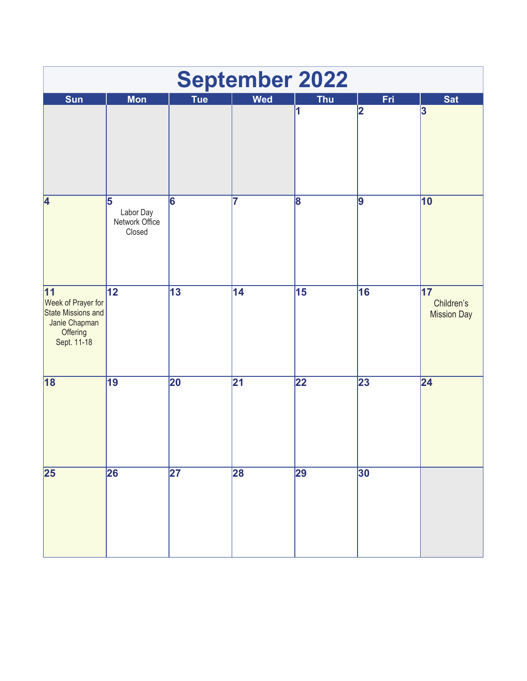| <b>September 2022</b>                                                                             |                                            |                          |                 |                 |     |                                        |  |  |
|---------------------------------------------------------------------------------------------------|--------------------------------------------|--------------------------|-----------------|-----------------|-----|----------------------------------------|--|--|
| Sun                                                                                               | <b>Mon</b>                                 | <b>Tue</b>               | <b>Wed</b>      | <b>Thu</b>      | Fri | <b>Sat</b>                             |  |  |
|                                                                                                   |                                            |                          |                 | 1               | 2   | 3                                      |  |  |
| 4                                                                                                 | 5<br>Labor Day<br>Network Office<br>Closed | 6                        | 7               | 8               | 9   | 10                                     |  |  |
| 11<br>Week of Prayer for<br><b>State Missions and</b><br>Janie Chapman<br>Offering<br>Sept. 11-18 | $\overline{12}$                            | $\overline{13}$          | 14              | 15              | 16  | 17<br>Children's<br><b>Mission Day</b> |  |  |
| 18                                                                                                | $\overline{19}$                            | 20                       | $\overline{21}$ | $\overline{22}$ | 23  | $\overline{24}$                        |  |  |
| 25                                                                                                | 26                                         | $\overline{\mathbf{27}}$ | 28              | 29              | 30  |                                        |  |  |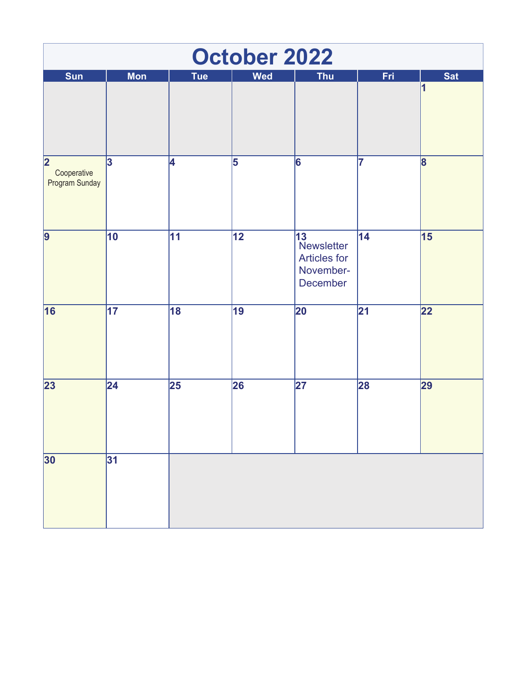|                                                          |                         |                 | <b>October 2022</b> |                                                                               |                 |                         |
|----------------------------------------------------------|-------------------------|-----------------|---------------------|-------------------------------------------------------------------------------|-----------------|-------------------------|
| Sun                                                      | <b>Mon</b>              | Tue             | <b>Wed</b>          | <b>Thu</b>                                                                    | Fri             | <b>Sat</b><br>1         |
|                                                          |                         |                 |                     |                                                                               |                 |                         |
|                                                          |                         |                 |                     |                                                                               |                 |                         |
| $\overline{\mathbf{2}}$<br>Cooperative<br>Program Sunday | $\overline{\mathbf{3}}$ | 4               | 5                   | $\overline{6}$                                                                | 7               | $\overline{\mathbf{8}}$ |
| 9                                                        | $\overline{10}$         | 11              | $\overline{12}$     | $\overline{13}$<br>Newsletter<br><b>Articles for</b><br>November-<br>December | 14              | $\overline{15}$         |
| 16                                                       | $\overline{17}$         | <b>18</b>       | 19                  | 20                                                                            | $\overline{21}$ | $\overline{22}$         |
| 23                                                       | $\overline{24}$         | $\overline{25}$ | 26                  | $\overline{\mathbf{27}}$                                                      | 28              | 29                      |
| 30                                                       | 31                      |                 |                     |                                                                               |                 |                         |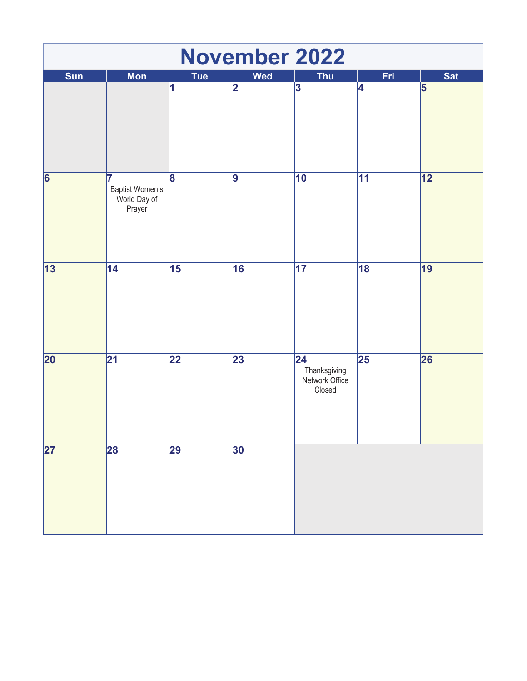| <b>November 2022</b> |                                                |                         |                |                                                             |                 |                 |  |  |
|----------------------|------------------------------------------------|-------------------------|----------------|-------------------------------------------------------------|-----------------|-----------------|--|--|
| Sun                  | <b>Mon</b>                                     | <b>Tue</b>              | <b>Wed</b>     | <b>Thu</b>                                                  | Fri             | <b>Sat</b>      |  |  |
|                      |                                                | 1                       | 2              | $\overline{\mathbf{3}}$                                     | 4               | 5               |  |  |
| $\overline{6}$       | 7<br>Baptist Women's<br>World Day of<br>Prayer | $\overline{\mathbf{8}}$ | $\overline{9}$ | $\overline{10}$                                             | $\overline{11}$ | $\overline{12}$ |  |  |
| 13                   | $\overline{14}$                                | $\overline{15}$         | 16             | $\overline{17}$                                             | 18              | 19              |  |  |
| $\overline{20}$      | $\overline{21}$                                | $\overline{22}$         | 23             | $\overline{24}$<br>Thanksgiving<br>Network Office<br>Closed | $\overline{25}$ | 26              |  |  |
| $\overline{27}$      | 28                                             | 29                      | 30             |                                                             |                 |                 |  |  |